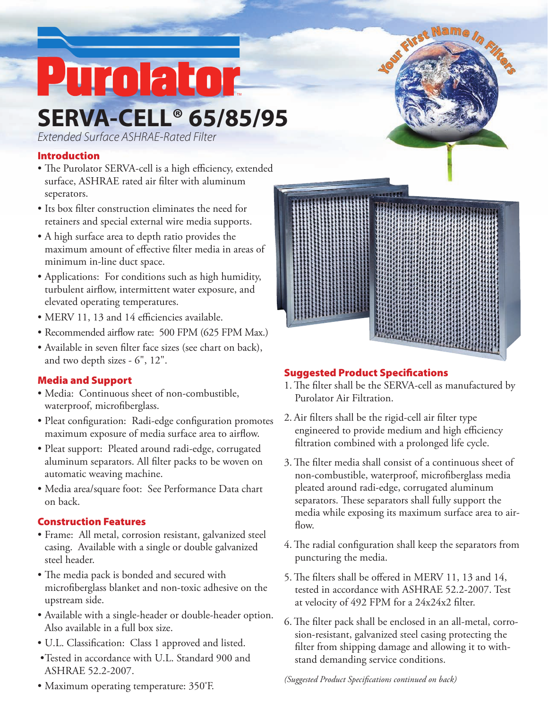# **SERVA-CELL® 65/85/95** Purolator

*Extended Surface ASHRAE-Rated Filter*

### Introduction

- The Purolator SERVA-cell is a high efficiency, extended surface, ASHRAE rated air filter with aluminum seperators.
- Its box filter construction eliminates the need for retainers and special external wire media supports.
- A high surface area to depth ratio provides the maximum amount of effective filter media in areas of minimum in-line duct space.
- Applications: For conditions such as high humidity, turbulent airflow, intermittent water exposure, and elevated operating temperatures.
- MERV 11, 13 and 14 efficiencies available.
- Recommended airflow rate: 500 FPM (625 FPM Max.)
- Available in seven filter face sizes (see chart on back), and two depth sizes - 6", 12".

### Media and Support

- • Media: Continuous sheet of non-combustible, waterproof, microfiberglass.
- Pleat configuration: Radi-edge configuration promotes maximum exposure of media surface area to airflow.
- Pleat support: Pleated around radi-edge, corrugated aluminum separators. All filter packs to be woven on automatic weaving machine.
- • Media area/square foot: See Performance Data chart on back.

### Construction Features

- • Frame: All metal, corrosion resistant, galvanized steel casing. Available with a single or double galvanized steel header.
- The media pack is bonded and secured with microfiberglass blanket and non-toxic adhesive on the upstream side.
- • Available with a single-header or double-header option. Also available in a full box size.
- U.L. Classification: Class 1 approved and listed.
- Tested in accordance with U.L. Standard 900 and ASHRAE 52.2-2007.
- Maximum operating temperature: 350°F.



### Suggested Product Specifications

- 1. The filter shall be the SERVA-cell as manufactured by Purolator Air Filtration.
- 2. Air filters shall be the rigid-cell air filter type engineered to provide medium and high efficiency filtration combined with a prolonged life cycle.
- 3. The filter media shall consist of a continuous sheet of non-combustible, waterproof, microfiberglass media pleated around radi-edge, corrugated aluminum separators. These separators shall fully support the media while exposing its maximum surface area to airflow.
- 4. The radial configuration shall keep the separators from puncturing the media.
- 5. The filters shall be offered in MERV 11, 13 and 14, tested in accordance with ASHRAE 52.2-2007. Test at velocity of 492 FPM for a 24x24x2 filter.
- 6. The filter pack shall be enclosed in an all-metal, corrosion-resistant, galvanized steel casing protecting the filter from shipping damage and allowing it to withstand demanding service conditions.

*(Suggested Product Specifications continued on back)*